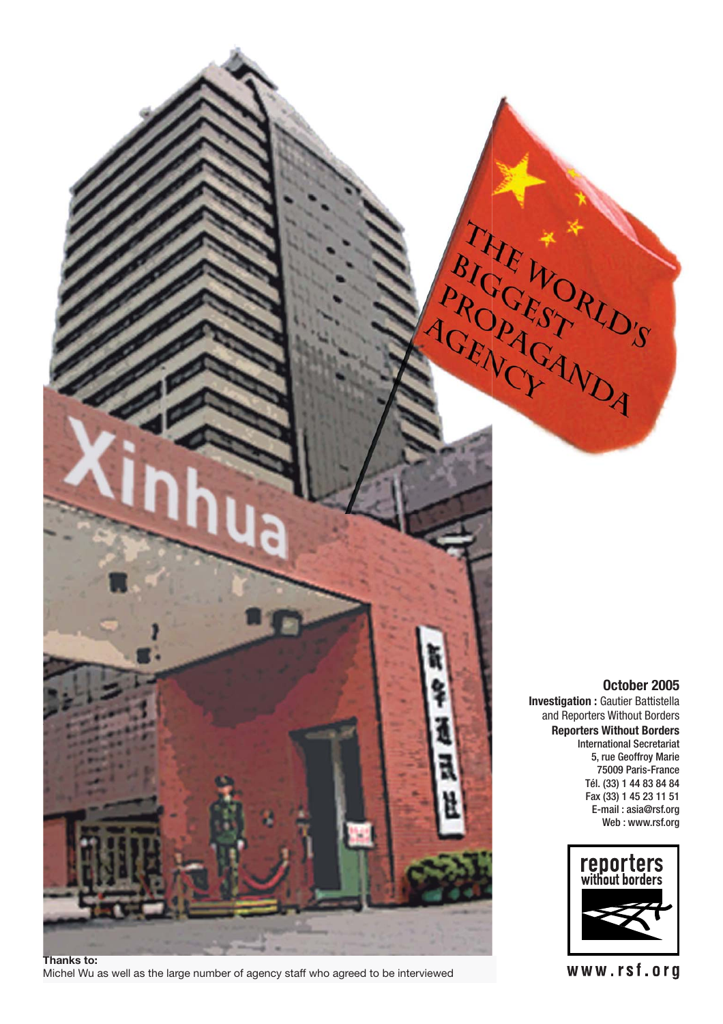

**Thanks to:** Michel Wu as well as the large number of agency staff who agreed to be interviewed

## **October 2005**

**Investigation :** Gautier Battistella and Reporters Without Borders **Reporters Without Borders** International Secretariat 5, rue Geoffroy Marie 75009 Paris-France Tél. (33) 1 44 83 84 84 Fax (33) 1 45 23 11 51 E-mail : asia@rsf.org Web : www.rsf.org



www.rsf.org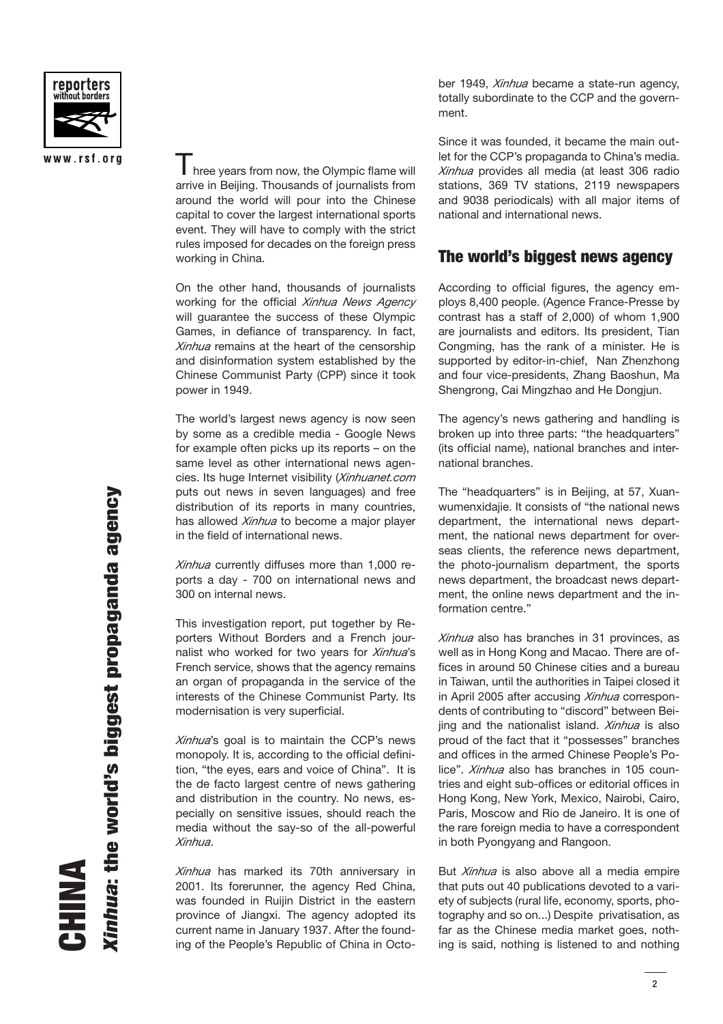

### www.rsf.org

 $\parallel$  hree years from now, the Olympic flame will arrive in Beijing. Thousands of journalists from around the world will pour into the Chinese capital to cover the largest international sports event. They will have to comply with the strict rules imposed for decades on the foreign press working in China.

On the other hand, thousands of journalists working for the official *Xinhua News Agency* will guarantee the success of these Olympic Games, in defiance of transparency. In fact, *Xinhua* remains at the heart of the censorship and disinformation system established by the Chinese Communist Party (CPP) since it took power in 1949.

The world's largest news agency is now seen by some as a credible media - Google News for example often picks up its reports – on the same level as other international news agencies. Its huge Internet visibility (*Xinhuanet.com*  puts out news in seven languages) and free distribution of its reports in many countries, has allowed *Xinhua* to become a major player in the field of international news.

*Xinhua* currently diffuses more than 1,000 reports a day - 700 on international news and 300 on internal news.

This investigation report, put together by Reporters Without Borders and a French journalist who worked for two years for *Xinhua*'s French service, shows that the agency remains an organ of propaganda in the service of the interests of the Chinese Communist Party. Its modernisation is very superficial.

*Xinhua*'s goal is to maintain the CCP's news monopoly. It is, according to the official definition, "the eyes, ears and voice of China". It is the de facto largest centre of news gathering and distribution in the country. No news, especially on sensitive issues, should reach the media without the say-so of the all-powerful *Xinhua*.

*Xinhua* has marked its 70th anniversary in 2001. Its forerunner, the agency Red China, was founded in Ruijin District in the eastern province of Jiangxi. The agency adopted its current name in January 1937. After the founding of the People's Republic of China in Octo-

ber 1949, *Xinhua* became a state-run agency, totally subordinate to the CCP and the government.

Since it was founded, it became the main outlet for the CCP's propaganda to China's media. *Xinhua* provides all media (at least 306 radio stations, 369 TV stations, 2119 newspapers and 9038 periodicals) with all major items of national and international news.

## **The world's biggest news agency**

According to official figures, the agency employs 8,400 people. (Agence France-Presse by contrast has a staff of 2,000) of whom 1,900 are journalists and editors. Its president, Tian Congming, has the rank of a minister. He is supported by editor-in-chief, Nan Zhenzhong and four vice-presidents, Zhang Baoshun, Ma Shengrong, Cai Mingzhao and He Dongjun.

The agency's news gathering and handling is broken up into three parts: "the headquarters" (its official name), national branches and international branches.

The "headquarters" is in Beijing, at 57, Xuanwumenxidajie. It consists of "the national news department, the international news department, the national news department for overseas clients, the reference news department, the photo-journalism department, the sports news department, the broadcast news department, the online news department and the information centre."

*Xinhua* also has branches in 31 provinces, as well as in Hong Kong and Macao. There are offices in around 50 Chinese cities and a bureau in Taiwan, until the authorities in Taipei closed it in April 2005 after accusing *Xinhua* correspondents of contributing to "discord" between Beijing and the nationalist island. *Xinhua* is also proud of the fact that it "possesses" branches and offices in the armed Chinese People's Police". *Xinhua* also has branches in 105 countries and eight sub-offices or editorial offices in Hong Kong, New York, Mexico, Nairobi, Cairo, Paris, Moscow and Rio de Janeiro. It is one of the rare foreign media to have a correspondent in both Pyongyang and Rangoon.

But *Xinhua* is also above all a media empire that puts out 40 publications devoted to a variety of subjects (rural life, economy, sports, photography and so on...) Despite privatisation, as far as the Chinese media market goes, nothing is said, nothing is listened to and nothing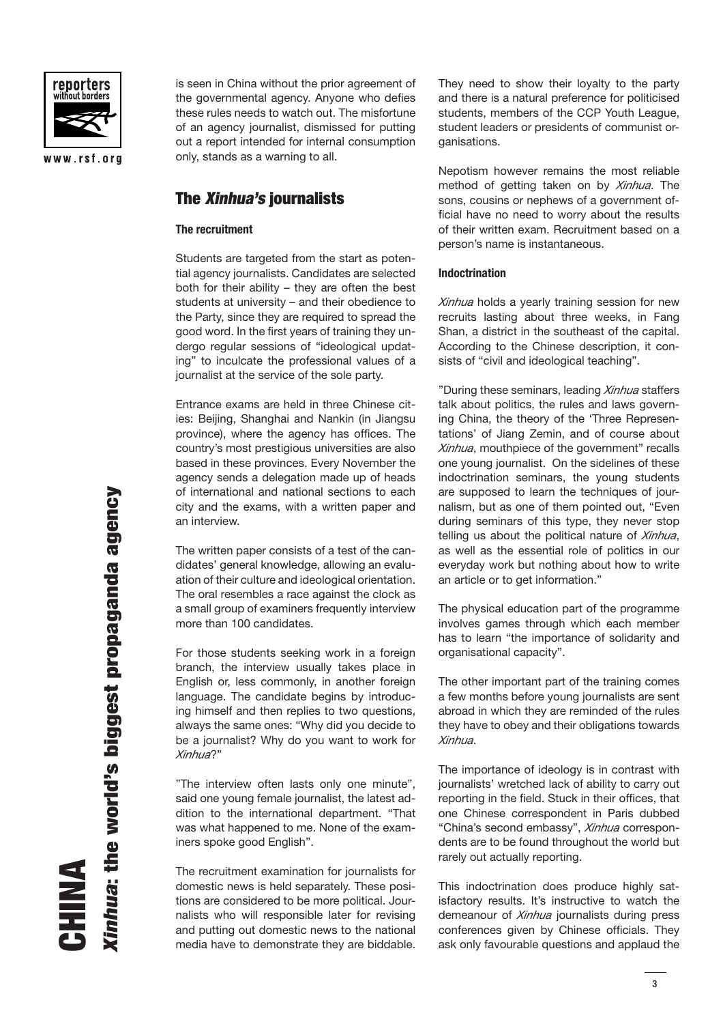

www.rsf.org

is seen in China without the prior agreement of the governmental agency. Anyone who defies these rules needs to watch out. The misfortune of an agency journalist, dismissed for putting out a report intended for internal consumption only, stands as a warning to all.

## **The Xinhua's journalists**

#### **The recruitment**

Students are targeted from the start as potential agency journalists. Candidates are selected both for their ability – they are often the best students at university – and their obedience to the Party, since they are required to spread the good word. In the first years of training they undergo regular sessions of "ideological updating" to inculcate the professional values of a journalist at the service of the sole party.

Entrance exams are held in three Chinese cities: Beijing, Shanghai and Nankin (in Jiangsu province), where the agency has offices. The country's most prestigious universities are also based in these provinces. Every November the agency sends a delegation made up of heads of international and national sections to each city and the exams, with a written paper and an interview.

The written paper consists of a test of the candidates' general knowledge, allowing an evaluation of their culture and ideological orientation. The oral resembles a race against the clock as a small group of examiners frequently interview more than 100 candidates.

For those students seeking work in a foreign branch, the interview usually takes place in English or, less commonly, in another foreign language. The candidate begins by introducing himself and then replies to two questions, always the same ones: "Why did you decide to be a journalist? Why do you want to work for *Xinhua*?"

"The interview often lasts only one minute", said one young female journalist, the latest addition to the international department. "That was what happened to me. None of the examiners spoke good English".

The recruitment examination for journalists for domestic news is held separately. These positions are considered to be more political. Journalists who will responsible later for revising and putting out domestic news to the national media have to demonstrate they are biddable.

They need to show their loyalty to the party and there is a natural preference for politicised students, members of the CCP Youth League, student leaders or presidents of communist organisations.

Nepotism however remains the most reliable method of getting taken on by *Xinhua*. The sons, cousins or nephews of a government official have no need to worry about the results of their written exam. Recruitment based on a person's name is instantaneous.

#### **Indoctrination**

*Xinhua* holds a yearly training session for new recruits lasting about three weeks, in Fang Shan, a district in the southeast of the capital. According to the Chinese description, it consists of "civil and ideological teaching".

"During these seminars, leading *Xinhua* staffers talk about politics, the rules and laws governing China, the theory of the 'Three Representations' of Jiang Zemin, and of course about *Xinhua*, mouthpiece of the government" recalls one young journalist. On the sidelines of these indoctrination seminars, the young students are supposed to learn the techniques of journalism, but as one of them pointed out, "Even during seminars of this type, they never stop telling us about the political nature of *Xinhua*, as well as the essential role of politics in our everyday work but nothing about how to write an article or to get information."

The physical education part of the programme involves games through which each member has to learn "the importance of solidarity and organisational capacity".

The other important part of the training comes a few months before young journalists are sent abroad in which they are reminded of the rules they have to obey and their obligations towards *Xinhua*.

The importance of ideology is in contrast with journalists' wretched lack of ability to carry out reporting in the field. Stuck in their offices, that one Chinese correspondent in Paris dubbed "China's second embassy", *Xinhua* correspondents are to be found throughout the world but rarely out actually reporting.

This indoctrination does produce highly satisfactory results. It's instructive to watch the demeanour of *Xinhua* journalists during press conferences given by Chinese officials. They ask only favourable questions and applaud the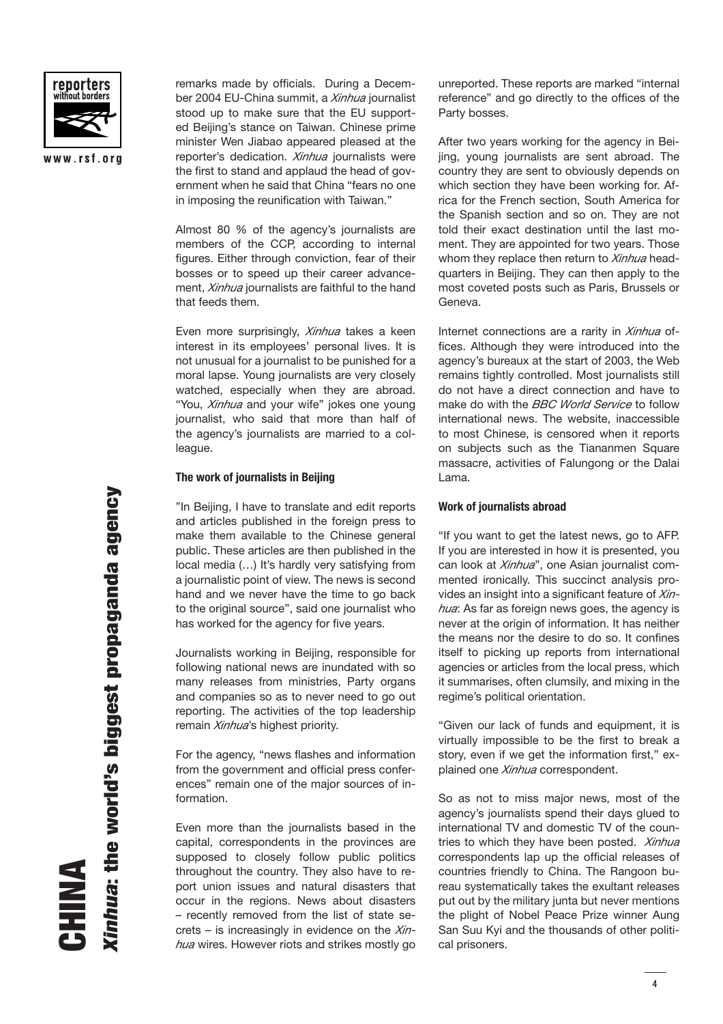

www.rsf.org

remarks made by officials. During a December 2004 EU-China summit, a *Xinhua* journalist stood up to make sure that the EU supported Beijing's stance on Taiwan. Chinese prime minister Wen Jiabao appeared pleased at the reporter's dedication. *Xinhua* journalists were the first to stand and applaud the head of government when he said that China "fears no one in imposing the reunification with Taiwan."

Almost 80 % of the agency's journalists are members of the CCP, according to internal figures. Either through conviction, fear of their bosses or to speed up their career advancement, *Xinhua* journalists are faithful to the hand that feeds them.

Even more surprisingly, *Xinhua* takes a keen interest in its employees' personal lives. It is not unusual for a journalist to be punished for a moral lapse. Young journalists are very closely watched, especially when they are abroad. "You, *Xinhua* and your wife" jokes one young journalist, who said that more than half of the agency's journalists are married to a colleague.

#### **The work of journalists in Beijing**

"In Beijing, I have to translate and edit reports and articles published in the foreign press to make them available to the Chinese general public. These articles are then published in the local media (…) It's hardly very satisfying from a journalistic point of view. The news is second hand and we never have the time to go back to the original source", said one journalist who has worked for the agency for five years.

Journalists working in Beijing, responsible for following national news are inundated with so many releases from ministries, Party organs and companies so as to never need to go out reporting. The activities of the top leadership remain *Xinhua*'s highest priority.

For the agency, "news flashes and information from the government and official press conferences" remain one of the major sources of information.

Even more than the journalists based in the capital, correspondents in the provinces are supposed to closely follow public politics throughout the country. They also have to report union issues and natural disasters that occur in the regions. News about disasters – recently removed from the list of state secrets – is increasingly in evidence on the *Xinhua* wires. However riots and strikes mostly go unreported. These reports are marked "internal reference" and go directly to the offices of the Party bosses.

After two years working for the agency in Beijing, young journalists are sent abroad. The country they are sent to obviously depends on which section they have been working for. Africa for the French section, South America for the Spanish section and so on. They are not told their exact destination until the last moment. They are appointed for two years. Those whom they replace then return to *Xinhua* headquarters in Beijing. They can then apply to the most coveted posts such as Paris, Brussels or Geneva.

Internet connections are a rarity in *Xinhua* offices. Although they were introduced into the agency's bureaux at the start of 2003, the Web remains tightly controlled. Most journalists still do not have a direct connection and have to make do with the *BBC World Service* to follow international news. The website, inaccessible to most Chinese, is censored when it reports on subjects such as the Tiananmen Square massacre, activities of Falungong or the Dalai Lama.

#### **Work of journalists abroad**

"If you want to get the latest news, go to AFP. If you are interested in how it is presented, you can look at *Xinhua*", one Asian journalist commented ironically. This succinct analysis provides an insight into a significant feature of *Xinhua*: As far as foreign news goes, the agency is never at the origin of information. It has neither the means nor the desire to do so. It confines itself to picking up reports from international agencies or articles from the local press, which it summarises, often clumsily, and mixing in the regime's political orientation.

"Given our lack of funds and equipment, it is virtually impossible to be the first to break a story, even if we get the information first," explained one *Xinhua* correspondent.

So as not to miss major news, most of the agency's journalists spend their days glued to international TV and domestic TV of the countries to which they have been posted. *Xinhua* correspondents lap up the official releases of countries friendly to China. The Rangoon bureau systematically takes the exultant releases put out by the military junta but never mentions the plight of Nobel Peace Prize winner Aung San Suu Kyi and the thousands of other political prisoners.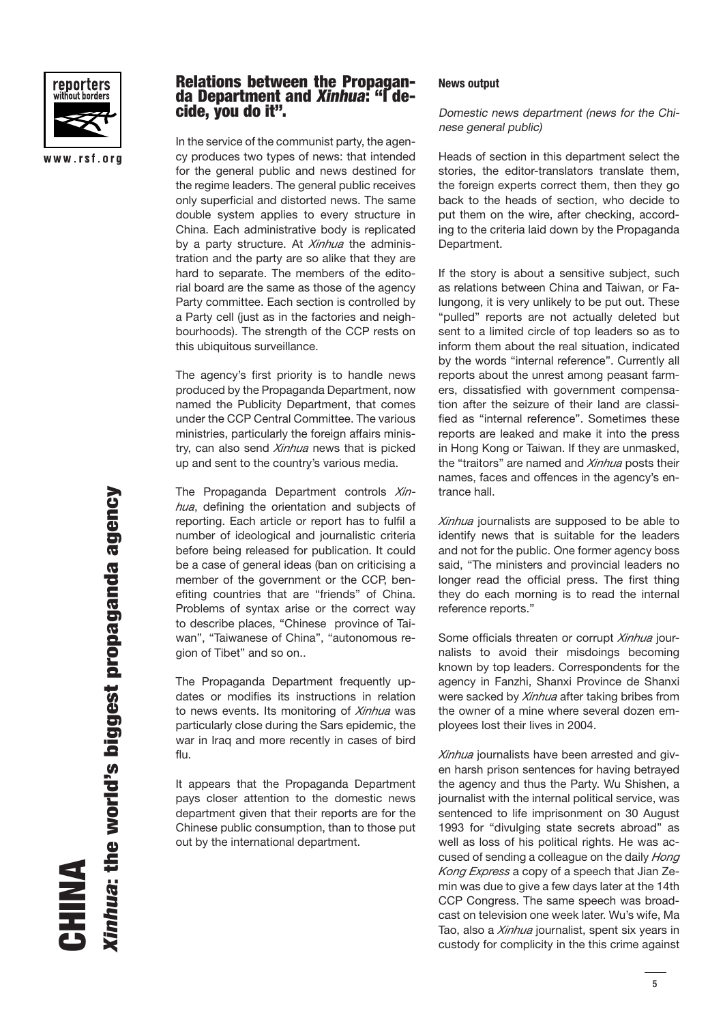

www.rsf.org

## **Relations between the Propaganda Department and Xinhua: "I decide, you do it".**

In the service of the communist party, the agency produces two types of news: that intended for the general public and news destined for the regime leaders. The general public receives only superficial and distorted news. The same double system applies to every structure in China. Each administrative body is replicated by a party structure. At *Xinhua* the administration and the party are so alike that they are hard to separate. The members of the editorial board are the same as those of the agency Party committee. Each section is controlled by a Party cell (just as in the factories and neighbourhoods). The strength of the CCP rests on this ubiquitous surveillance.

The agency's first priority is to handle news produced by the Propaganda Department, now named the Publicity Department, that comes under the CCP Central Committee. The various ministries, particularly the foreign affairs ministry, can also send *Xinhua* news that is picked up and sent to the country's various media.

The Propaganda Department controls *Xin*hua, defining the orientation and subjects of reporting. Each article or report has to fulfil a number of ideological and journalistic criteria before being released for publication. It could be a case of general ideas (ban on criticising a member of the government or the CCP, benefiting countries that are "friends" of China. Problems of syntax arise or the correct way to describe places, "Chinese province of Taiwan", "Taiwanese of China", "autonomous region of Tibet" and so on..

The Propaganda Department frequently updates or modifies its instructions in relation to news events. Its monitoring of *Xinhua* was particularly close during the Sars epidemic, the war in Iraq and more recently in cases of bird flu.

It appears that the Propaganda Department pays closer attention to the domestic news department given that their reports are for the Chinese public consumption, than to those put out by the international department.

#### **News output**

Domestic news department (news for the Chinese general public)

Heads of section in this department select the stories, the editor-translators translate them, the foreign experts correct them, then they go back to the heads of section, who decide to put them on the wire, after checking, according to the criteria laid down by the Propaganda Department.

If the story is about a sensitive subject, such as relations between China and Taiwan, or Falungong, it is very unlikely to be put out. These "pulled" reports are not actually deleted but sent to a limited circle of top leaders so as to inform them about the real situation, indicated by the words "internal reference". Currently all reports about the unrest among peasant farmers, dissatisfied with government compensation after the seizure of their land are classified as "internal reference". Sometimes these reports are leaked and make it into the press in Hong Kong or Taiwan. If they are unmasked, the "traitors" are named and *Xinhua* posts their names, faces and offences in the agency's entrance hall.

*Xinhua* journalists are supposed to be able to identify news that is suitable for the leaders and not for the public. One former agency boss said, "The ministers and provincial leaders no longer read the official press. The first thing they do each morning is to read the internal reference reports."

Some officials threaten or corrupt *Xinhua* journalists to avoid their misdoings becoming known by top leaders. Correspondents for the agency in Fanzhi, Shanxi Province de Shanxi were sacked by *Xinhua* after taking bribes from the owner of a mine where several dozen employees lost their lives in 2004.

*Xinhua* journalists have been arrested and given harsh prison sentences for having betrayed the agency and thus the Party. Wu Shishen, a journalist with the internal political service, was sentenced to life imprisonment on 30 August 1993 for "divulging state secrets abroad" as well as loss of his political rights. He was accused of sending a colleague on the daily *Hong Kong Express* a copy of a speech that Jian Zemin was due to give a few days later at the 14th CCP Congress. The same speech was broadcast on television one week later. Wu's wife, Ma Tao, also a *Xinhua* journalist, spent six years in custody for complicity in the this crime against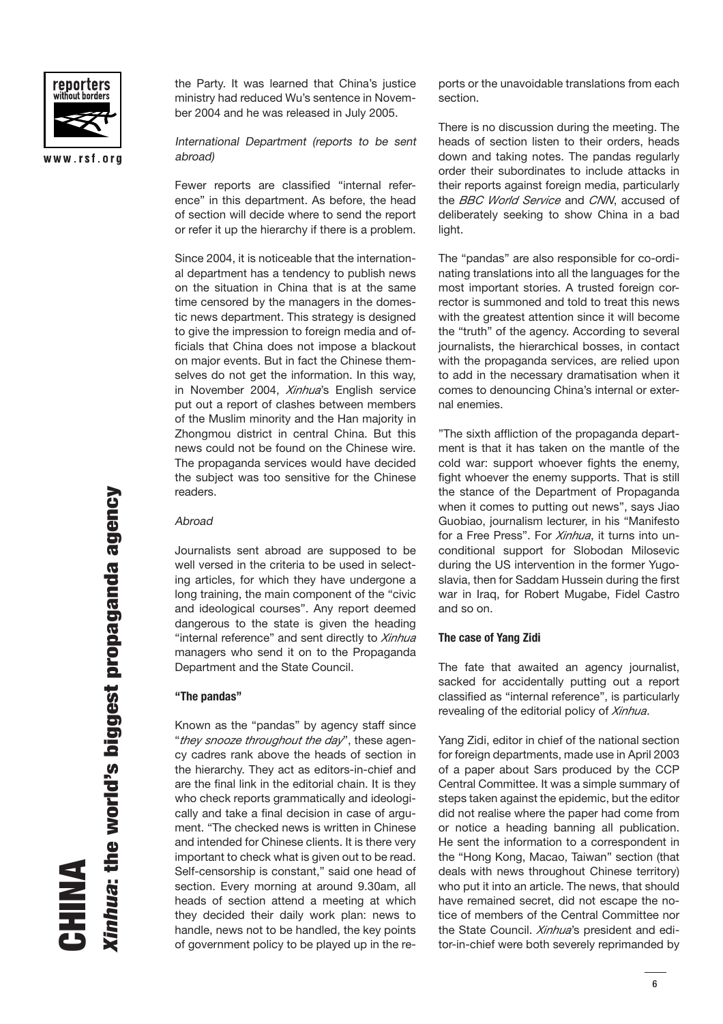

www.rsf.org

the Party. It was learned that China's justice ministry had reduced Wu's sentence in November 2004 and he was released in July 2005.

International Department (reports to be sent abroad)

Fewer reports are classified "internal reference" in this department. As before, the head of section will decide where to send the report or refer it up the hierarchy if there is a problem.

Since 2004, it is noticeable that the international department has a tendency to publish news on the situation in China that is at the same time censored by the managers in the domestic news department. This strategy is designed to give the impression to foreign media and officials that China does not impose a blackout on major events. But in fact the Chinese themselves do not get the information. In this way, in November 2004, *Xinhua*'s English service put out a report of clashes between members of the Muslim minority and the Han majority in Zhongmou district in central China. But this news could not be found on the Chinese wire. The propaganda services would have decided the subject was too sensitive for the Chinese readers.

#### **Abroad**

Journalists sent abroad are supposed to be well versed in the criteria to be used in selecting articles, for which they have undergone a long training, the main component of the "civic and ideological courses". Any report deemed dangerous to the state is given the heading "internal reference" and sent directly to *Xinhua* managers who send it on to the Propaganda Department and the State Council.

#### **"The pandas"**

Known as the "pandas" by agency staff since "*they snooze throughout the day*", these agency cadres rank above the heads of section in the hierarchy. They act as editors-in-chief and are the final link in the editorial chain. It is they who check reports grammatically and ideologically and take a final decision in case of argument. "The checked news is written in Chinese and intended for Chinese clients. It is there very important to check what is given out to be read. Self-censorship is constant," said one head of section. Every morning at around 9.30am, all heads of section attend a meeting at which they decided their daily work plan: news to handle, news not to be handled, the key points of government policy to be played up in the re-

ports or the unavoidable translations from each section.

There is no discussion during the meeting. The heads of section listen to their orders, heads down and taking notes. The pandas regularly order their subordinates to include attacks in their reports against foreign media, particularly the *BBC World Service* and *CNN*, accused of deliberately seeking to show China in a bad light.

The "pandas" are also responsible for co-ordinating translations into all the languages for the most important stories. A trusted foreign corrector is summoned and told to treat this news with the greatest attention since it will become the "truth" of the agency. According to several journalists, the hierarchical bosses, in contact with the propaganda services, are relied upon to add in the necessary dramatisation when it comes to denouncing China's internal or external enemies.

"The sixth affliction of the propaganda department is that it has taken on the mantle of the cold war: support whoever fights the enemy, fight whoever the enemy supports. That is still the stance of the Department of Propaganda when it comes to putting out news", says Jiao Guobiao, journalism lecturer, in his "Manifesto for a Free Press". For *Xinhua*, it turns into unconditional support for Slobodan Milosevic during the US intervention in the former Yugoslavia, then for Saddam Hussein during the first war in Iraq, for Robert Mugabe, Fidel Castro and so on.

#### **The case of Yang Zidi**

The fate that awaited an agency journalist, sacked for accidentally putting out a report classified as "internal reference", is particularly revealing of the editorial policy of *Xinhua*.

Yang Zidi, editor in chief of the national section for foreign departments, made use in April 2003 of a paper about Sars produced by the CCP Central Committee. It was a simple summary of steps taken against the epidemic, but the editor did not realise where the paper had come from or notice a heading banning all publication. He sent the information to a correspondent in the "Hong Kong, Macao, Taiwan" section (that deals with news throughout Chinese territory) who put it into an article. The news, that should have remained secret, did not escape the notice of members of the Central Committee nor the State Council. *Xinhua*'s president and editor-in-chief were both severely reprimanded by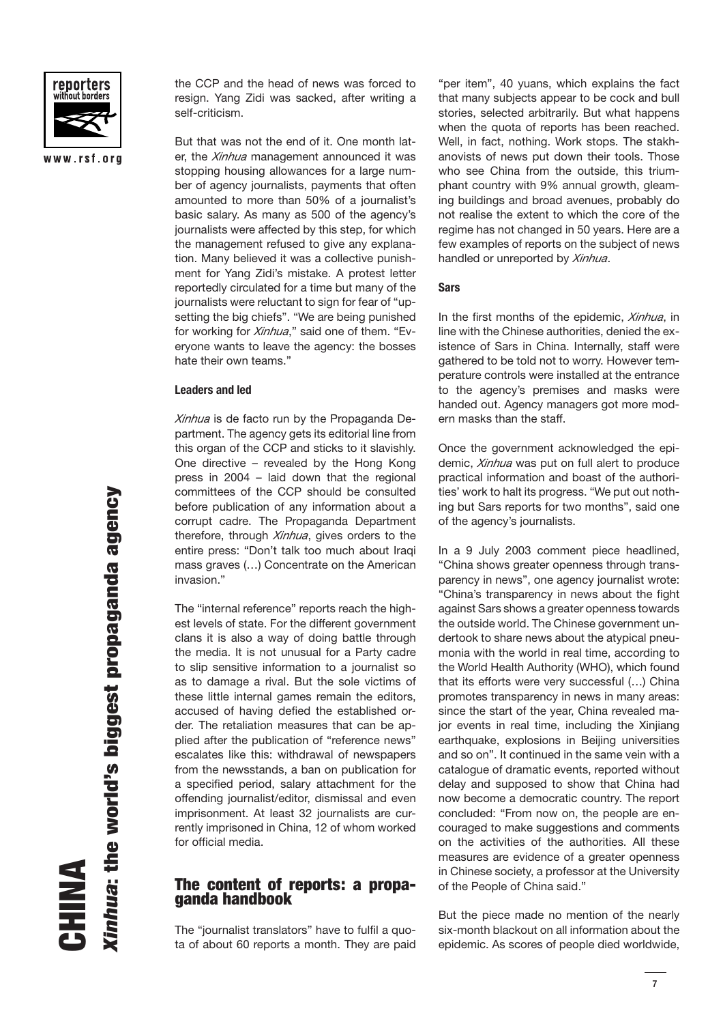

www.rsf.org

the CCP and the head of news was forced to resign. Yang Zidi was sacked, after writing a self-criticism.

But that was not the end of it. One month later, the *Xinhua* management announced it was stopping housing allowances for a large number of agency journalists, payments that often amounted to more than 50% of a journalist's basic salary. As many as 500 of the agency's journalists were affected by this step, for which the management refused to give any explanation. Many believed it was a collective punishment for Yang Zidi's mistake. A protest letter reportedly circulated for a time but many of the journalists were reluctant to sign for fear of "upsetting the big chiefs". "We are being punished for working for *Xinhua*," said one of them. "Everyone wants to leave the agency: the bosses hate their own teams."

#### **Leaders and led**

*Xinhua* is de facto run by the Propaganda Department. The agency gets its editorial line from this organ of the CCP and sticks to it slavishly. One directive – revealed by the Hong Kong press in 2004 – laid down that the regional committees of the CCP should be consulted before publication of any information about a corrupt cadre. The Propaganda Department therefore, through *Xinhua*, gives orders to the entire press: "Don't talk too much about Iraqi mass graves (…) Concentrate on the American invasion."

The "internal reference" reports reach the highest levels of state. For the different government clans it is also a way of doing battle through the media. It is not unusual for a Party cadre to slip sensitive information to a journalist so as to damage a rival. But the sole victims of these little internal games remain the editors, accused of having defied the established order. The retaliation measures that can be applied after the publication of "reference news" escalates like this: withdrawal of newspapers from the newsstands, a ban on publication for a specified period, salary attachment for the offending journalist/editor, dismissal and even imprisonment. At least 32 journalists are currently imprisoned in China, 12 of whom worked for official media.

## **The content of reports: a propaganda handbook**

The "journalist translators" have to fulfil a quota of about 60 reports a month. They are paid

"per item", 40 yuans, which explains the fact that many subjects appear to be cock and bull stories, selected arbitrarily. But what happens when the quota of reports has been reached. Well, in fact, nothing. Work stops. The stakhanovists of news put down their tools. Those who see China from the outside, this triumphant country with 9% annual growth, gleaming buildings and broad avenues, probably do not realise the extent to which the core of the regime has not changed in 50 years. Here are a few examples of reports on the subject of news handled or unreported by *Xinhua*.

#### **Sars**

In the first months of the epidemic, *Xinhua*, in line with the Chinese authorities, denied the existence of Sars in China. Internally, staff were gathered to be told not to worry. However temperature controls were installed at the entrance to the agency's premises and masks were handed out. Agency managers got more modern masks than the staff.

Once the government acknowledged the epidemic, *Xinhua* was put on full alert to produce practical information and boast of the authorities' work to halt its progress. "We put out nothing but Sars reports for two months", said one of the agency's journalists.

In a 9 July 2003 comment piece headlined, "China shows greater openness through transparency in news", one agency journalist wrote: "China's transparency in news about the fight against Sars shows a greater openness towards the outside world. The Chinese government undertook to share news about the atypical pneumonia with the world in real time, according to the World Health Authority (WHO), which found that its efforts were very successful (…) China promotes transparency in news in many areas: since the start of the year, China revealed major events in real time, including the Xinjiang earthquake, explosions in Beijing universities and so on". It continued in the same vein with a catalogue of dramatic events, reported without delay and supposed to show that China had now become a democratic country. The report concluded: "From now on, the people are encouraged to make suggestions and comments on the activities of the authorities. All these measures are evidence of a greater openness in Chinese society, a professor at the University of the People of China said."

But the piece made no mention of the nearly six-month blackout on all information about the epidemic. As scores of people died worldwide,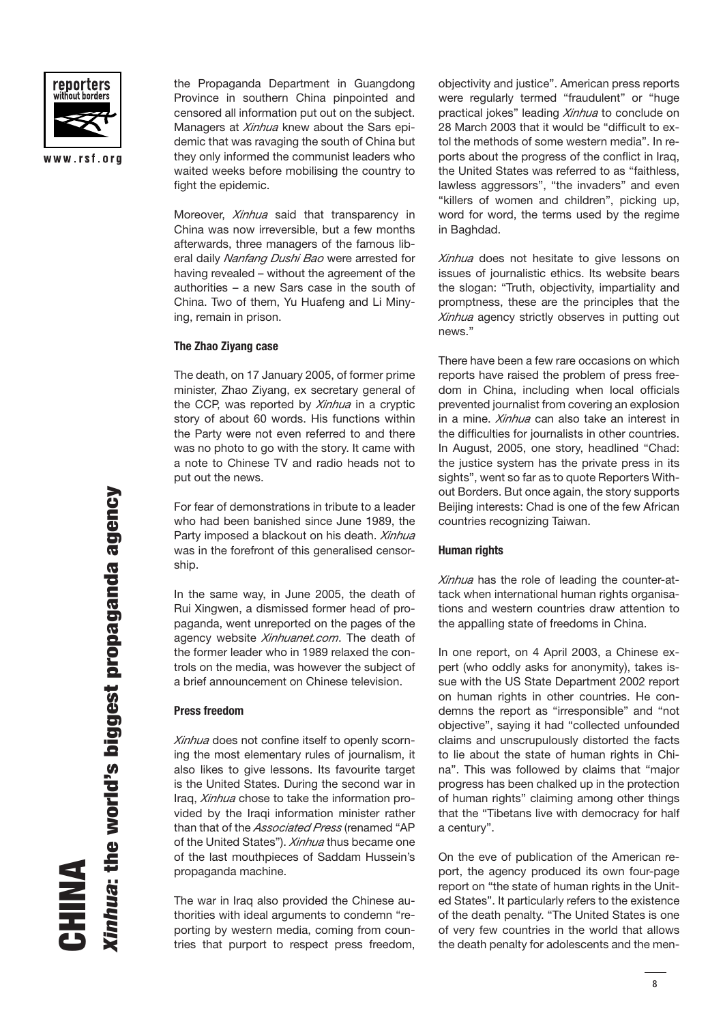

www.rsf.org

the Propaganda Department in Guangdong Province in southern China pinpointed and censored all information put out on the subject. Managers at *Xinhua* knew about the Sars epidemic that was ravaging the south of China but they only informed the communist leaders who waited weeks before mobilising the country to fight the epidemic.

Moreover, *Xinhua* said that transparency in China was now irreversible, but a few months afterwards, three managers of the famous liberal daily *Nanfang Dushi Bao* were arrested for having revealed – without the agreement of the authorities – a new Sars case in the south of China. Two of them, Yu Huafeng and Li Minying, remain in prison.

#### **The Zhao Ziyang case**

The death, on 17 January 2005, of former prime minister, Zhao Ziyang, ex secretary general of the CCP, was reported by *Xinhua* in a cryptic story of about 60 words. His functions within the Party were not even referred to and there was no photo to go with the story. It came with a note to Chinese TV and radio heads not to put out the news.

For fear of demonstrations in tribute to a leader who had been banished since June 1989, the Party imposed a blackout on his death. *Xinhua* was in the forefront of this generalised censorship.

In the same way, in June 2005, the death of Rui Xingwen, a dismissed former head of propaganda, went unreported on the pages of the agency website *Xinhuanet.com*. The death of the former leader who in 1989 relaxed the controls on the media, was however the subject of a brief announcement on Chinese television.

#### **Press freedom**

*Xinhua* does not confine itself to openly scorning the most elementary rules of journalism, it also likes to give lessons. Its favourite target is the United States. During the second war in Iraq, *Xinhua* chose to take the information provided by the Iraqi information minister rather than that of the *Associated Press* (renamed "AP of the United States"). *Xinhua* thus became one of the last mouthpieces of Saddam Hussein's propaganda machine.

The war in Iraq also provided the Chinese authorities with ideal arguments to condemn "reporting by western media, coming from countries that purport to respect press freedom, objectivity and justice". American press reports were regularly termed "fraudulent" or "huge practical jokes" leading *Xinhua* to conclude on 28 March 2003 that it would be "difficult to extol the methods of some western media". In reports about the progress of the conflict in Iraq, the United States was referred to as "faithless, lawless aggressors", "the invaders" and even "killers of women and children", picking up, word for word, the terms used by the regime in Baghdad.

*Xinhua* does not hesitate to give lessons on issues of journalistic ethics. Its website bears the slogan: "Truth, objectivity, impartiality and promptness, these are the principles that the *Xinhua* agency strictly observes in putting out news."

There have been a few rare occasions on which reports have raised the problem of press freedom in China, including when local officials prevented journalist from covering an explosion in a mine. *Xinhua* can also take an interest in the difficulties for journalists in other countries. In August, 2005, one story, headlined "Chad: the justice system has the private press in its sights", went so far as to quote Reporters Without Borders. But once again, the story supports Beijing interests: Chad is one of the few African countries recognizing Taiwan.

#### **Human rights**

*Xinhua* has the role of leading the counter-attack when international human rights organisations and western countries draw attention to the appalling state of freedoms in China.

In one report, on 4 April 2003, a Chinese expert (who oddly asks for anonymity), takes issue with the US State Department 2002 report on human rights in other countries. He condemns the report as "irresponsible" and "not objective", saying it had "collected unfounded claims and unscrupulously distorted the facts to lie about the state of human rights in China". This was followed by claims that "major progress has been chalked up in the protection of human rights" claiming among other things that the "Tibetans live with democracy for half a century".

On the eve of publication of the American report, the agency produced its own four-page report on "the state of human rights in the United States". It particularly refers to the existence of the death penalty. "The United States is one of very few countries in the world that allows the death penalty for adolescents and the men-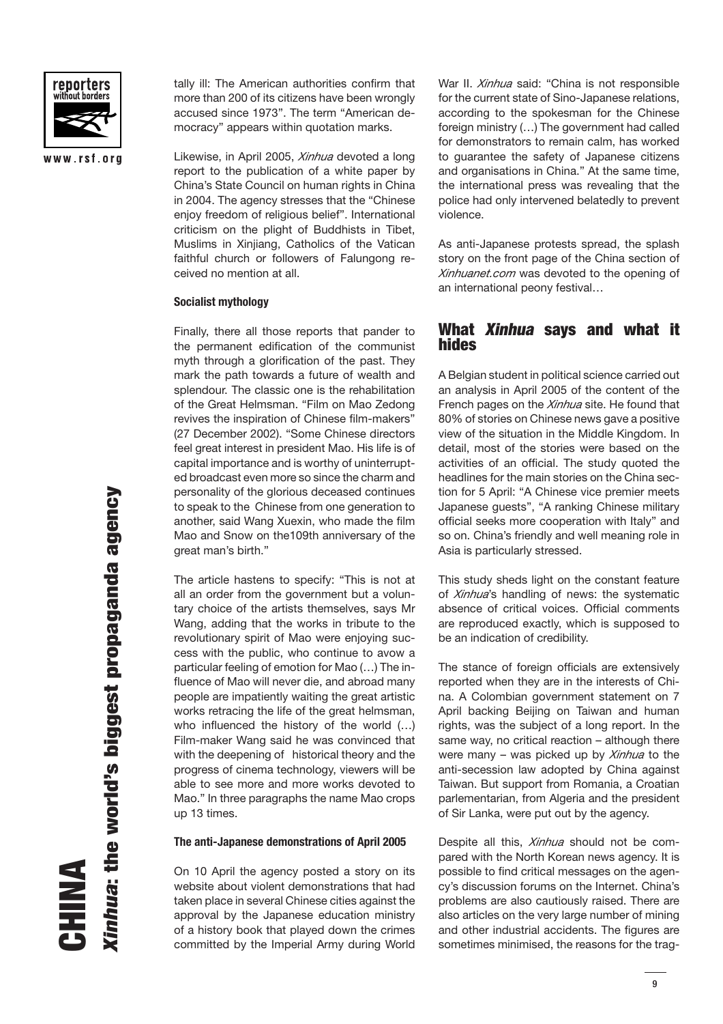

www.rsf.org

tally ill: The American authorities confirm that more than 200 of its citizens have been wrongly accused since 1973". The term "American democracy" appears within quotation marks.

Likewise, in April 2005, *Xinhua* devoted a long report to the publication of a white paper by China's State Council on human rights in China in 2004. The agency stresses that the "Chinese enjoy freedom of religious belief". International criticism on the plight of Buddhists in Tibet, Muslims in Xinjiang, Catholics of the Vatican faithful church or followers of Falungong received no mention at all.

#### **Socialist mythology**

Finally, there all those reports that pander to the permanent edification of the communist myth through a glorification of the past. They mark the path towards a future of wealth and splendour. The classic one is the rehabilitation of the Great Helmsman. "Film on Mao Zedong revives the inspiration of Chinese film-makers" (27 December 2002). "Some Chinese directors feel great interest in president Mao. His life is of capital importance and is worthy of uninterrupted broadcast even more so since the charm and personality of the glorious deceased continues to speak to the Chinese from one generation to another, said Wang Xuexin, who made the film Mao and Snow on the109th anniversary of the great man's birth."

The article hastens to specify: "This is not at all an order from the government but a voluntary choice of the artists themselves, says Mr Wang, adding that the works in tribute to the revolutionary spirit of Mao were enjoying success with the public, who continue to avow a particular feeling of emotion for Mao (…) The influence of Mao will never die, and abroad many people are impatiently waiting the great artistic works retracing the life of the great helmsman, who influenced the history of the world  $(...)$ Film-maker Wang said he was convinced that with the deepening of historical theory and the progress of cinema technology, viewers will be able to see more and more works devoted to Mao." In three paragraphs the name Mao crops up 13 times.

#### **The anti-Japanese demonstrations of April 2005**

On 10 April the agency posted a story on its website about violent demonstrations that had taken place in several Chinese cities against the approval by the Japanese education ministry of a history book that played down the crimes committed by the Imperial Army during World

War II. *Xinhua* said: "China is not responsible for the current state of Sino-Japanese relations, according to the spokesman for the Chinese foreign ministry (…) The government had called for demonstrators to remain calm, has worked to guarantee the safety of Japanese citizens and organisations in China." At the same time, the international press was revealing that the police had only intervened belatedly to prevent violence.

As anti-Japanese protests spread, the splash story on the front page of the China section of *Xinhuanet.com* was devoted to the opening of an international peony festival…

# **What Xinhua says and what it hides**

A Belgian student in political science carried out an analysis in April 2005 of the content of the French pages on the *Xinhua* site. He found that 80% of stories on Chinese news gave a positive view of the situation in the Middle Kingdom. In detail, most of the stories were based on the activities of an official. The study quoted the headlines for the main stories on the China section for 5 April: "A Chinese vice premier meets Japanese guests", "A ranking Chinese military official seeks more cooperation with Italy" and so on. China's friendly and well meaning role in Asia is particularly stressed.

This study sheds light on the constant feature of *Xinhua*'s handling of news: the systematic absence of critical voices. Official comments are reproduced exactly, which is supposed to be an indication of credibility.

The stance of foreign officials are extensively reported when they are in the interests of China. A Colombian government statement on 7 April backing Beijing on Taiwan and human rights, was the subject of a long report. In the same way, no critical reaction – although there were many – was picked up by *Xinhua* to the anti-secession law adopted by China against Taiwan. But support from Romania, a Croatian parlementarian, from Algeria and the president of Sir Lanka, were put out by the agency.

Despite all this, *Xinhua* should not be compared with the North Korean news agency. It is possible to find critical messages on the agency's discussion forums on the Internet. China's problems are also cautiously raised. There are also articles on the very large number of mining and other industrial accidents. The figures are sometimes minimised, the reasons for the trag-